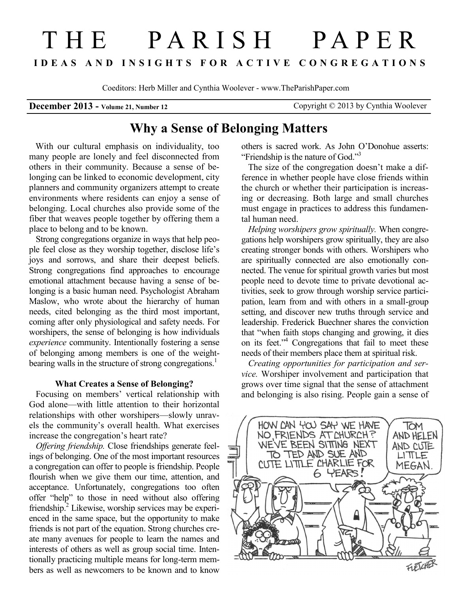# T H E P A R I S H P A P E R **I D E A S A N D I N S I G H T S F O R A C T I V E C O N G R E G A T I O N S**

Coeditors: Herb Miller and Cynthia Woolever - www.TheParishPaper.com

# **December 2013 - Volume 21, Number 12** Copyright © 2013 by Cynthia Woolever

# **Why a Sense of Belonging Matters**

 With our cultural emphasis on individuality, too many people are lonely and feel disconnected from others in their community. Because a sense of belonging can be linked to economic development, city planners and community organizers attempt to create environments where residents can enjoy a sense of belonging. Local churches also provide some of the fiber that weaves people together by offering them a place to belong and to be known.

Strong congregations organize in ways that help people feel close as they worship together, disclose life's joys and sorrows, and share their deepest beliefs. Strong congregations find approaches to encourage emotional attachment because having a sense of belonging is a basic human need. Psychologist Abraham Maslow, who wrote about the hierarchy of human needs, cited belonging as the third most important, coming after only physiological and safety needs. For worshipers, the sense of belonging is how individuals *experience* community. Intentionally fostering a sense of belonging among members is one of the weightbearing walls in the structure of strong congregations.<sup>1</sup>

#### **What Creates a Sense of Belonging?**

 Focusing on members' vertical relationship with God alone—with little attention to their horizontal relationships with other worshipers—slowly unravels the community's overall health. What exercises increase the congregation's heart rate?

*Offering friendship.* Close friendships generate feelings of belonging. One of the most important resources a congregation can offer to people is friendship. People flourish when we give them our time, attention, and acceptance. Unfortunately, congregations too often offer "help" to those in need without also offering friendship.<sup>2</sup> Likewise, worship services may be experienced in the same space, but the opportunity to make friends is not part of the equation. Strong churches create many avenues for people to learn the names and interests of others as well as group social time. Intentionally practicing multiple means for long-term members as well as newcomers to be known and to know

others is sacred work. As John O'Donohue asserts: "Friendship is the nature of God."<sup>3</sup>

The size of the congregation doesn't make a difference in whether people have close friends within the church or whether their participation is increasing or decreasing. Both large and small churches must engage in practices to address this fundamental human need.

*Helping worshipers grow spiritually.* When congregations help worshipers grow spiritually, they are also creating stronger bonds with others. Worshipers who are spiritually connected are also emotionally connected. The venue for spiritual growth varies but most people need to devote time to private devotional activities, seek to grow through worship service participation, learn from and with others in a small-group setting, and discover new truths through service and leadership. Frederick Buechner shares the conviction that "when faith stops changing and growing, it dies on its feet." $\frac{1}{4}$  Congregations that fail to meet these needs of their members place them at spiritual risk.

*Creating opportunities for participation and service.* Worshiper involvement and participation that grows over time signal that the sense of attachment and belonging is also rising. People gain a sense of